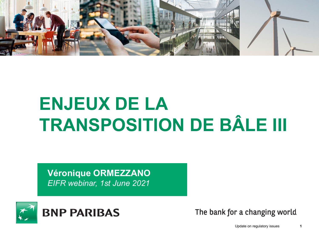

# **ENJEUX DE LA TRANSPOSITION DE BÂLE III**

**Véronique ORMEZZANO** *EIFR webinar, 1st June 2021*



The bank for a changing world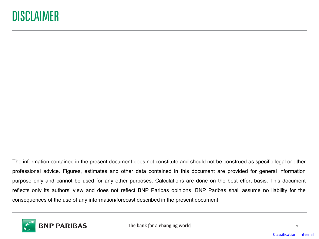The information contained in the present document does not constitute and should not be construed as specific legal or other professional advice. Figures, estimates and other data contained in this document are provided for general information purpose only and cannot be used for any other purposes. Calculations are done on the best effort basis. This document reflects only its authors' view and does not reflect BNP Paribas opinions. BNP Paribas shall assume no liability for the consequences of the use of any information/forecast described in the present document.

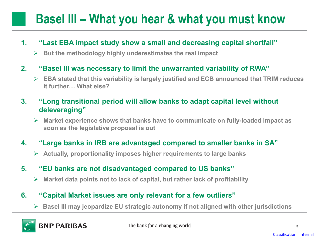## **Basel III – What you hear & what you must know**

#### **1. "Last EBA impact study show a small and decreasing capital shortfall"**

**But the methodology highly underestimates the real impact**

#### **2. "Basel III was necessary to limit the unwarranted variability of RWA"**

 **EBA stated that this variability is largely justified and ECB announced that TRIM reduces it further… What else?**

#### **3. "Long transitional period will allow banks to adapt capital level without deleveraging"**

 **Market experience shows that banks have to communicate on fully-loaded impact as soon as the legislative proposal is out**

#### **4. "Large banks in IRB are advantaged compared to smaller banks in SA"**

**Actually, proportionality imposes higher requirements to large banks** 

#### **5. "EU banks are not disadvantaged compared to US banks"**

**Market data points not to lack of capital, but rather lack of profitability**

#### **6. "Capital Market issues are only relevant for a few outliers"**

**Basel III may jeopardize EU strategic autonomy if not aligned with other jurisdictions**

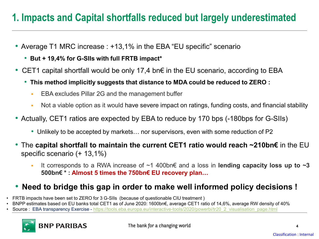## **1. Impacts and Capital shortfalls reduced but largely underestimated**

- Average T1 MRC increase : +13,1% in the EBA "EU specific" scenario
	- **But + 19,4% for G-SIIs with full FRTB impact\***
- CET1 capital shortfall would be only 17,4 bn€ in the EU scenario, according to EBA
	- **This method implicitly suggests that distance to MDA could be reduced to ZERO :**
		- **EBA excludes Pillar 2G and the management buffer**
		- Not a viable option as it would have severe impact on ratings, funding costs, and financial stability
- Actually, CET1 ratios are expected by EBA to reduce by 170 bps (-180bps for G-SIIs)
	- Unlikely to be accepted by markets... nor supervisors, even with some reduction of P2
- The **capital shortfall to maintain the current CET1 ratio would reach ~210bn€** in the EU specific scenario (+ 13,1%)
	- It corresponds to a RWA increase of ~1 400bn€ and a loss in **lending capacity loss up to ~3 500bn€ \* : Almost 5 times the 750bn€ EU recovery plan…**

## • **Need to bridge this gap in order to make well informed policy decisions !**

- FRTB impacts have been set to ZERO for 3 G-SIIs (because of questionable CIU treatment )
- BNPP estimates based on EU banks total CET1 as of June 2020: 1600bn€, average CET1 ratio of 14,6%, average RW density of 40%
- **Source : EBA transparency Exercise [https://tools.eba.europa.eu/interactive-tools/2020/powerbi/tr20\\_2\\_visualisation\\_page.html](https://tools.eba.europa.eu/interactive-tools/2020/powerbi/tr20_2_visualisation_page.html)**

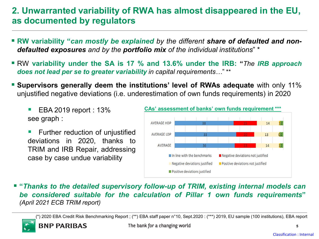## **2. Unwarranted variability of RWA has almost disappeared in the EU, as documented by regulators**

- **RW variability "***can mostly be explained by the different share of defaulted and nondefaulted exposures and by the portfolio mix of the individual institutions*" \*
- RW **variability under the SA is 17 % and 13.6% under the IRB: "***The IRB approach does not lead per se to greater variability in capital requirements…*" \*\*
- **Supervisors generally deem the institutions' level of RWAs adequate** with only 11% unjustified negative deviations (i.e. underestimation of own funds requirements) in 2020
	- EBA 2019 report : 13% see graph :

**BNP PARIBAS** 

 Further reduction of unjustified deviations in 2020, thanks to TRIM and IRB Repair, addressing case by case undue variability



 **"***Thanks to the detailed supervisory follow-up of TRIM, existing internal models can be considered suitable for the calculation of Pillar 1 own funds requirements***"** *(April 2021 ECB TRIM report)*

(\*) 2020 EBA Credit Risk Benchmarking Report ; (\*\*) EBA staff paper n°10, Sept.2020 : (\*\*\*) 2019, EU sample (100 institutions), EBA report

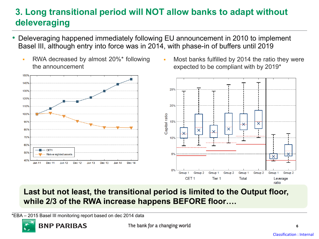## **3. Long transitional period will NOT allow banks to adapt without deleveraging**

- Deleveraging happened immediately following EU announcement in 2010 to implement Basel III, although entry into force was in 2014, with phase-in of buffers until 2019
	- RWA decreased by almost 20%\* following the announcement



 Most banks fulfilled by 2014 the ratio they were expected to be compliant with by 2019\*



## **Last but not least, the transitional period is limited to the Output floor, while 2/3 of the RWA increase happens BEFORE floor….**

\*EBA – 2015 Basel III monitoring report based on dec 2014 data



**6**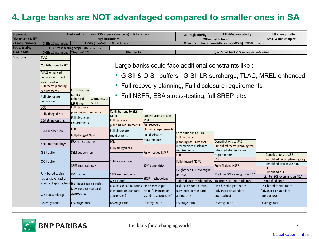## **4. Large banks are NOT advantaged compared to smaller ones in SA**

| <b>Supervision</b>       | Significant institutions (SSM supervision scope) - 119 institutions |                                                                                                                                                                                                                                                                                                             |                                               |                                            | LSI - High priority                                               | LSI - Medium priority                        | LSI - Low priority                                            |
|--------------------------|---------------------------------------------------------------------|-------------------------------------------------------------------------------------------------------------------------------------------------------------------------------------------------------------------------------------------------------------------------------------------------------------|-----------------------------------------------|--------------------------------------------|-------------------------------------------------------------------|----------------------------------------------|---------------------------------------------------------------|
| <b>Disclosure / NSFR</b> |                                                                     | Large institutions                                                                                                                                                                                                                                                                                          |                                               |                                            | Small & non-complex<br>"Other institutions"                       |                                              |                                                               |
| P1 requirements          | <b>G-SIIs</b> 10 institutions                                       | O-SIIs (non-G-SII) - 113 institutions                                                                                                                                                                                                                                                                       |                                               |                                            | Other institutions (non-GSIIs and non-OSIIs) - ~3200 institutions |                                              |                                                               |
| <b>Stress testing</b>    |                                                                     | EBA stress testing scope - 40 institutions                                                                                                                                                                                                                                                                  |                                               |                                            |                                                                   |                                              |                                                               |
| <b>TLAC / MREL</b>       | <b>G-SIIs 10 institutions</b>                                       | "Top-tier" ~20                                                                                                                                                                                                                                                                                              | <b>Other banks</b>                            |                                            |                                                                   | o/w "Small banks" (RCA exemption under BRRD) |                                                               |
| <b>Eurozone</b>          | <b>TLAC</b><br><b>Contributions to SRB</b>                          |                                                                                                                                                                                                                                                                                                             |                                               |                                            |                                                                   |                                              |                                                               |
|                          |                                                                     | Large banks could face additional constraints like :<br>• G-SII & O-SII buffers, G-SII LR surcharge, TLAC, MREL enhanced<br>Full recovery planning, Full disclosure requirements<br><b>Contributions</b><br>• Full NSFR, EBA stress-testing, full SREP, etc.<br>to SRB<br>Enhanced<br>Contr. to SRB<br>MREL |                                               |                                            |                                                                   |                                              |                                                               |
|                          | <b>MREL</b> enhanced                                                |                                                                                                                                                                                                                                                                                                             |                                               |                                            |                                                                   |                                              |                                                               |
|                          | requirements (incl.                                                 |                                                                                                                                                                                                                                                                                                             |                                               |                                            |                                                                   |                                              |                                                               |
|                          | subordination)<br>Full recov. planning                              |                                                                                                                                                                                                                                                                                                             |                                               |                                            |                                                                   |                                              |                                                               |
|                          | requirements<br>Full disclosure                                     |                                                                                                                                                                                                                                                                                                             |                                               |                                            |                                                                   |                                              |                                                               |
|                          | requirements                                                        |                                                                                                                                                                                                                                                                                                             |                                               |                                            |                                                                   |                                              |                                                               |
|                          | <b>LCR</b>                                                          | MREL req.<br><b>Full recovery</b>                                                                                                                                                                                                                                                                           |                                               |                                            |                                                                   |                                              |                                                               |
|                          | <b>Fully-fledged NSFR</b>                                           | planning requirements                                                                                                                                                                                                                                                                                       | <b>Contributions to SRB</b>                   |                                            |                                                                   |                                              |                                                               |
|                          |                                                                     | Full disclosure                                                                                                                                                                                                                                                                                             | <b>MREL</b>                                   | <b>Contributions to SRB</b>                |                                                                   |                                              |                                                               |
|                          | EBA stress-testing                                                  | requirements                                                                                                                                                                                                                                                                                                | <b>Full recovery</b><br>planning requirements | <b>MREL</b><br>Full recovery               |                                                                   |                                              |                                                               |
|                          | <b>SSM</b> supervision                                              | <b>LCR</b>                                                                                                                                                                                                                                                                                                  | Full disclosure                               | planning requirements                      |                                                                   |                                              |                                                               |
|                          |                                                                     | <b>Fully-fledged NSFR</b>                                                                                                                                                                                                                                                                                   | requirements                                  | Full disclosure                            | <b>Contributions to SRB</b><br>Full recovery                      |                                              |                                                               |
|                          | SREP methodology                                                    | <b>EBA</b> stress-testing                                                                                                                                                                                                                                                                                   | <b>LCR</b>                                    | requirements                               | planning requirements                                             | <b>Contributions to SRB</b>                  |                                                               |
|                          | G-SII buffer<br>O-SII buffer                                        | <b>SSM</b> supervision                                                                                                                                                                                                                                                                                      | Fully-fledged NSFR                            | <b>LCR</b>                                 | Intermediate disclosure                                           | Simplified recov. planning req.              |                                                               |
|                          |                                                                     |                                                                                                                                                                                                                                                                                                             |                                               | Fully-fledged NSFR                         | requirements                                                      | Intermediate disclosure                      |                                                               |
|                          |                                                                     |                                                                                                                                                                                                                                                                                                             | <b>SSM</b> supervision<br>SREP methodology    |                                            | <b>LCR</b>                                                        | requirements                                 | <b>Contributions to SRB</b>                                   |
|                          |                                                                     |                                                                                                                                                                                                                                                                                                             |                                               | <b>SSM</b> supervision<br>SREP methodology | Fully-fledged NSFR<br>Heightened ECB oversight                    | <b>LCR</b>                                   | Simplified recov. planning req.<br>Simplified disclosure req. |
|                          |                                                                     | SREP methodology                                                                                                                                                                                                                                                                                            |                                               |                                            |                                                                   | <b>Fully-fledged NSFR</b>                    | <b>LCR</b>                                                    |
|                          | Risk-based capital                                                  | O-SII buffer                                                                                                                                                                                                                                                                                                |                                               |                                            | on NCA                                                            | Medium ECB oversight on NCA                  | <b>Simplified NSFR</b><br>Lighter ECB oversight on NCA        |
|                          | ratios (advanced or                                                 | standard approaches) Risk-based capital ratios<br>ladvanced or standard<br>approaches)                                                                                                                                                                                                                      | O-SII buffer                                  |                                            | Tailored SREP methodology Tailored SREP methodology               |                                              | Simplified SREP                                               |
|                          |                                                                     |                                                                                                                                                                                                                                                                                                             | Risk-based capital ratios                     | Risk-based capital                         | Risk-based capital ratios                                         | Risk-based capital ratios                    | Risk-based capital ratios                                     |
|                          |                                                                     |                                                                                                                                                                                                                                                                                                             | (advanced or standard                         | ratios (advanced or                        | (advanced or standard                                             | ladvanced or standard                        | advanced or standard                                          |
|                          | G-SII LR surcharge                                                  |                                                                                                                                                                                                                                                                                                             | approaches)                                   | standard approaches)                       | approaches)                                                       | approaches)                                  | approaches)                                                   |
|                          | Leverage ratio                                                      | Leverage ratio                                                                                                                                                                                                                                                                                              | Leverage ratio                                | Leverage ratio                             | Leverage ratio                                                    | Leverage ratio                               | Leverage ratio                                                |

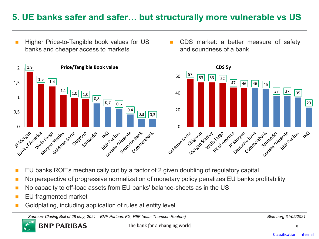## **5. UE banks safer and safer… but structurally more vulnerable vs US**

- Higher Price-to-Tangible book values for US banks and cheaper access to markets
- CDS market: a better measure of safety and soundness of a bank



- EU banks ROE's mechanically cut by a factor of 2 given doubling of regulatory capital
- No perspective of progressive normalization of monetary policy penalizes EU banks profitability
- No capacity to off-load assets from EU banks' balance-sheets as in the US
- **EU** fragmented market

**BNP PARIBAS** 

Goldplating, including application of rules at entity level

*Sources: Closing Bell of 28 May, 2021 – BNP Paribas, FG, RIIF (data: Thomson Reuters) Blomberg 31/05/2021*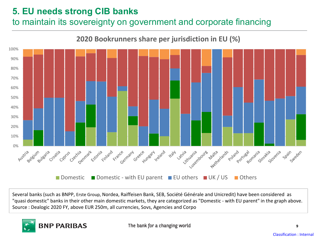## **5. EU needs strong CIB banks**

## to maintain its sovereignty on government and corporate financing



Several banks (such as BNPP, Erste Group, Nordea, Raiffeisen Bank, SEB, Société Générale and Unicredit) have been considered as "quasi domestic" banks in their other main domestic markets, they are categorized as "Domestic - with EU parent" in the graph above. Source : Dealogic 2020 FY, above EUR 250m, all currencies, Sovs, Agencies and Corpo

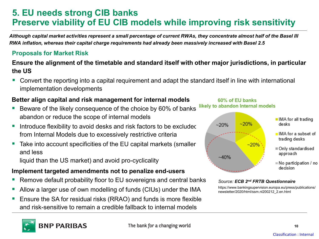## **5. EU needs strong CIB banks Preserve viability of EU CIB models while improving risk sensitivity**

*Although capital market activities represent a small percentage of current RWAs, they concentrate almost half of the Basel III RWA inflation, whereas their capital charge requirements had already been massively increased with Basel 2.5* 

#### **Proposals for Market Risk**

#### **Ensure the alignment of the timetable and standard itself with other major jurisdictions, in particular the US**

 Convert the reporting into a capital requirement and adapt the standard itself in line with international implementation developments

#### **Better align capital and risk management for internal models**

- Beware of the likely consequence of the choice by 60% of banks likely to abandon Internal models abandon or reduce the scope of internal models
- Introduce flexibility to avoid desks and risk factors to be excluded from Internal Models due to excessively restrictive criteria
- Take into account specificities of the EU capital markets (smaller and less

liquid than the US market) and avoid pro-cyclicality

#### **Implement targeted amendments not to penalize end-users**

- Remove default probability floor to EU sovereigns and central banks
- Allow a larger use of own modelling of funds (CIUs) under the IMA
- Ensure the SA for residual risks (RRAO) and funds is more flexible and risk-sensitive to remain a credible fallback to internal models

IMA for all trading desks

 $\blacksquare$  IMA for a subset of trading desks

- Only standardised approach
- $\blacksquare$  No participation / no decision

#### *Source: ECB 2nd FRTB Questionnaire*

60% of EU banks

~20%

 $-20%$ 

 $~20\%$ 

 $~10\%$ 

https://www.bankingsupervision.europa.eu/press/publications/ newsletter/2020/html/ssm.nl200212\_2.en.html

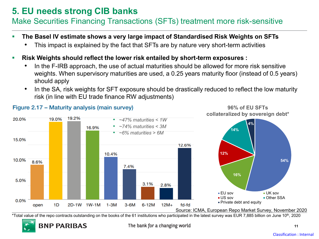## **5. EU needs strong CIB banks**

## Make Securities Financing Transactions (SFTs) treatment more risk-sensitive

- **The Basel IV estimate shows a very large impact of Standardised Risk Weights on SFTs**
	- This impact is explained by the fact that SFTs are by nature very short-term activities
- **Risk Weights should reflect the lower risk entailed by short-term exposures :**
	- In the F-IRB approach, the use of actual maturities should be allowed for more risk sensitive weights. When supervisory maturities are used, a 0.25 years maturity floor (instead of 0.5 years) should apply
	- In the SA, risk weights for SFT exposure should be drastically reduced to reflect the low maturity risk (in line with EU trade finance RW adjustments)



\*Total value of the repo contracts outstanding on the books of the 61 institutions who participated in the latest survey was EUR 7,885 billion on June 10th, 2020

The bank for a changing world

#### Figure 2.17 - Maturity analysis (main survey)

**BNP PARIBAS** 

**96% of EU SFTs** 

**11**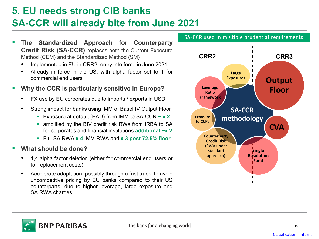## **5. EU needs strong CIB banks SA-CCR will already bite from June 2021**

- **The Standardized Approach for Counterparty Credit Risk (SA-CCR)** replaces both the Current Exposure Method (CEM) and the Standardized Method (SM)
	- Implemented in EU in CRR2: entry into force in June 2021
	- Already in force in the US, with alpha factor set to 1 for commercial end users

#### **Why the CCR is particularly sensitive in Europe?**

- FX use by EU corporates due to imports / exports in USD
- Strong impact for banks using IMM of Basel IV Output Floor
	- Exposure at default (EAD) from IMM to SA-CCR **~ x 2**
	- **Examplified by the BIV credit risk RWs from IRBA to SA** for corporates and financial institutions **additional ~x 2**
	- Full SA RWA **x 4** IMM RWA and **x 3 post 72,5% floor**
- **What should be done?**
	- 1,4 alpha factor deletion (either for commercial end users or for replacement costs)
	- Accelerate adaptation, possibly through a fast track, to avoid uncompetitive pricing by EU banks compared to their US counterparts, due to higher leverage, large exposure and SA RWA charges